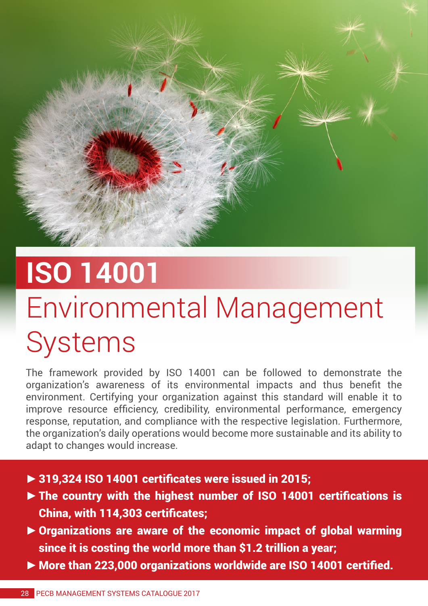

## **ISO 14001** Environmental Management Systems

The framework provided by ISO 14001 can be followed to demonstrate the organization's awareness of its environmental impacts and thus benefit the environment. Certifying your organization against this standard will enable it to improve resource efficiency, credibility, environmental performance, emergency response, reputation, and compliance with the respective legislation. Furthermore, the organization's daily operations would become more sustainable and its ability to adapt to changes would increase.

- **►**319,324 ISO 14001 certificates were issued in 2015;
- **►**The country with the highest number of ISO 14001 certifications is China, with 114,303 certificates;
- **►**Organizations are aware of the economic impact of global warming since it is costing the world more than \$1.2 trillion a year;
- **►**More than 223,000 organizations worldwide are ISO 14001 certified.